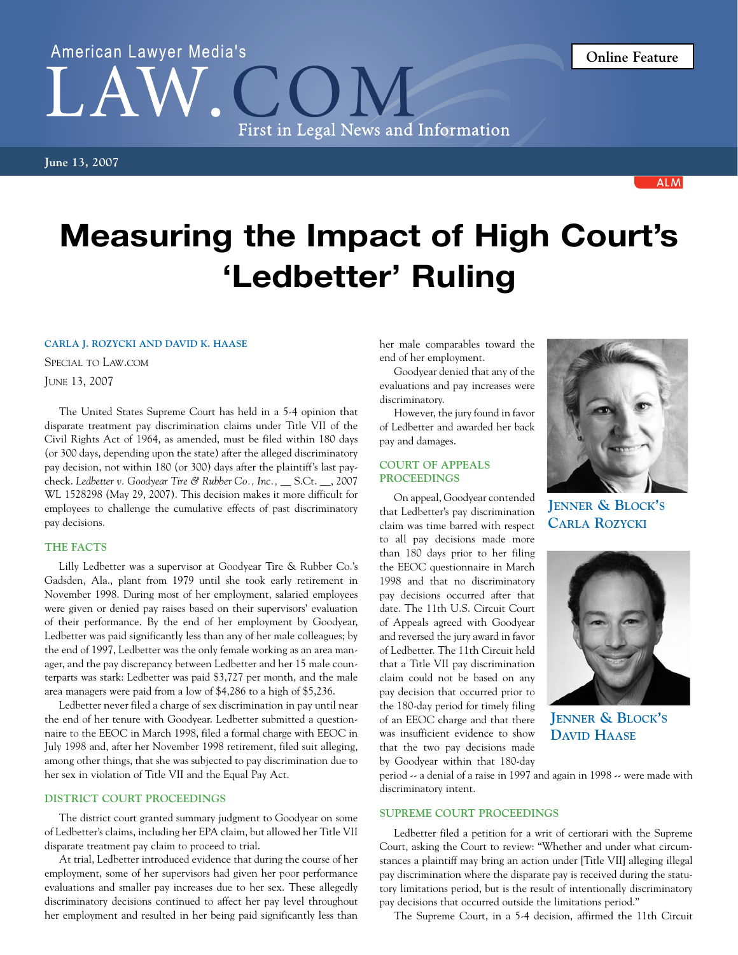# American Lawyer Media's First in Legal News and Information

**ALM** 

## Measuring the Impact of High Court's 'Ledbetter' Ruling

#### **Carla J. Rozycki and David K. Haase**

Special to Law.com

June 13, 2007

The United States Supreme Court has held in a 5-4 opinion that disparate treatment pay discrimination claims under Title VII of the Civil Rights Act of 1964, as amended, must be filed within 180 days (or 300 days, depending upon the state) after the alleged discriminatory pay decision, not within 180 (or 300) days after the plaintiff's last paycheck. *Ledbetter v. Goodyear Tire & Rubber Co.*, Inc., \_\_ S.Ct. \_\_, 2007 WL 1528298 (May 29, 2007). This decision makes it more difficult for employees to challenge the cumulative effects of past discriminatory pay decisions.

#### **THE FACTS**

Lilly Ledbetter was a supervisor at Goodyear Tire & Rubber Co.'s Gadsden, Ala., plant from 1979 until she took early retirement in November 1998. During most of her employment, salaried employees were given or denied pay raises based on their supervisors' evaluation of their performance. By the end of her employment by Goodyear, Ledbetter was paid significantly less than any of her male colleagues; by the end of 1997, Ledbetter was the only female working as an area manager, and the pay discrepancy between Ledbetter and her 15 male counterparts was stark: Ledbetter was paid \$3,727 per month, and the male area managers were paid from a low of \$4,286 to a high of \$5,236.

Ledbetter never filed a charge of sex discrimination in pay until near the end of her tenure with Goodyear. Ledbetter submitted a questionnaire to the EEOC in March 1998, filed a formal charge with EEOC in July 1998 and, after her November 1998 retirement, filed suit alleging, among other things, that she was subjected to pay discrimination due to her sex in violation of Title VII and the Equal Pay Act.

#### **DISTRICT COURT PROCEEDINGS**

The district court granted summary judgment to Goodyear on some of Ledbetter's claims, including her EPA claim, but allowed her Title VII disparate treatment pay claim to proceed to trial.

At trial, Ledbetter introduced evidence that during the course of her employment, some of her supervisors had given her poor performance evaluations and smaller pay increases due to her sex. These allegedly discriminatory decisions continued to affect her pay level throughout her employment and resulted in her being paid significantly less than her male comparables toward the end of her employment.

Goodyear denied that any of the evaluations and pay increases were discriminatory.

However, the jury found in favor of Ledbetter and awarded her back pay and damages.

#### **COURT OF APPEALS PROCEEDINGS**

On appeal, Goodyear contended that Ledbetter's pay discrimination claim was time barred with respect to all pay decisions made more than 180 days prior to her filing the EEOC questionnaire in March 1998 and that no discriminatory pay decisions occurred after that date. The 11th U.S. Circuit Court of Appeals agreed with Goodyear and reversed the jury award in favor of Ledbetter. The 11th Circuit held that a Title VII pay discrimination claim could not be based on any pay decision that occurred prior to the 180-day period for timely filing of an EEOC charge and that there was insufficient evidence to show that the two pay decisions made by Goodyear within that 180-day



**Jenner & Block's Carla Rozycki**



**Jenner & Block's David Haase**

period -- a denial of a raise in 1997 and again in 1998 -- were made with discriminatory intent.

### **SUPREME COURT PROCEEDINGS**

Ledbetter filed a petition for a writ of certiorari with the Supreme Court, asking the Court to review: "Whether and under what circumstances a plaintiff may bring an action under [Title VII] alleging illegal pay discrimination where the disparate pay is received during the statutory limitations period, but is the result of intentionally discriminatory pay decisions that occurred outside the limitations period."

The Supreme Court, in a 5-4 decision, affirmed the 11th Circuit